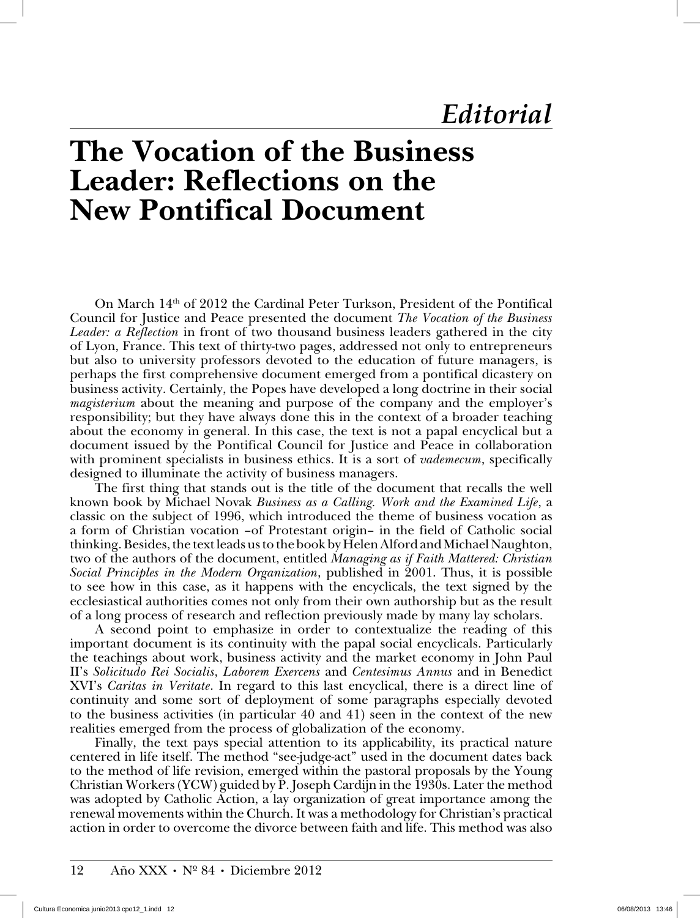## **The Vocation of the Business Leader: Reflections on the New Pontifical Document**

On March 14th of 2012 the Cardinal Peter Turkson, President of the Pontifical Council for Justice and Peace presented the document *The Vocation of the Business Leader: a Reflection* in front of two thousand business leaders gathered in the city of Lyon, France. This text of thirty-two pages, addressed not only to entrepreneurs but also to university professors devoted to the education of future managers, is perhaps the first comprehensive document emerged from a pontifical dicastery on business activity. Certainly, the Popes have developed a long doctrine in their social *magisterium* about the meaning and purpose of the company and the employer's responsibility; but they have always done this in the context of a broader teaching about the economy in general. In this case, the text is not a papal encyclical but a document issued by the Pontifical Council for Justice and Peace in collaboration with prominent specialists in business ethics. It is a sort of *vademecum*, specifically designed to illuminate the activity of business managers.

The first thing that stands out is the title of the document that recalls the well known book by Michael Novak *Business as a Calling. Work and the Examined Life*, a classic on the subject of 1996, which introduced the theme of business vocation as a form of Christian vocation –of Protestant origin– in the field of Catholic social thinking. Besides, the text leads us to the book by Helen Alford and Michael Naughton, two of the authors of the document, entitled *Managing as if Faith Mattered: Christian Social Principles in the Modern Organization*, published in 2001. Thus, it is possible to see how in this case, as it happens with the encyclicals, the text signed by the ecclesiastical authorities comes not only from their own authorship but as the result of a long process of research and reflection previously made by many lay scholars.

A second point to emphasize in order to contextualize the reading of this important document is its continuity with the papal social encyclicals. Particularly the teachings about work, business activity and the market economy in John Paul II's *Solicitudo Rei Socialis*, *Laborem Exercens* and *Centesimus Annus* and in Benedict XVI's *Caritas in Veritate*. In regard to this last encyclical, there is a direct line of continuity and some sort of deployment of some paragraphs especially devoted to the business activities (in particular 40 and 41) seen in the context of the new realities emerged from the process of globalization of the economy.

Finally, the text pays special attention to its applicability, its practical nature centered in life itself. The method "see-judge-act" used in the document dates back to the method of life revision, emerged within the pastoral proposals by the Young Christian Workers (YCW) guided by P. Joseph Cardijn in the 1930s. Later the method was adopted by Catholic Action, a lay organization of great importance among the renewal movements within the Church. It was a methodology for Christian's practical action in order to overcome the divorce between faith and life. This method was also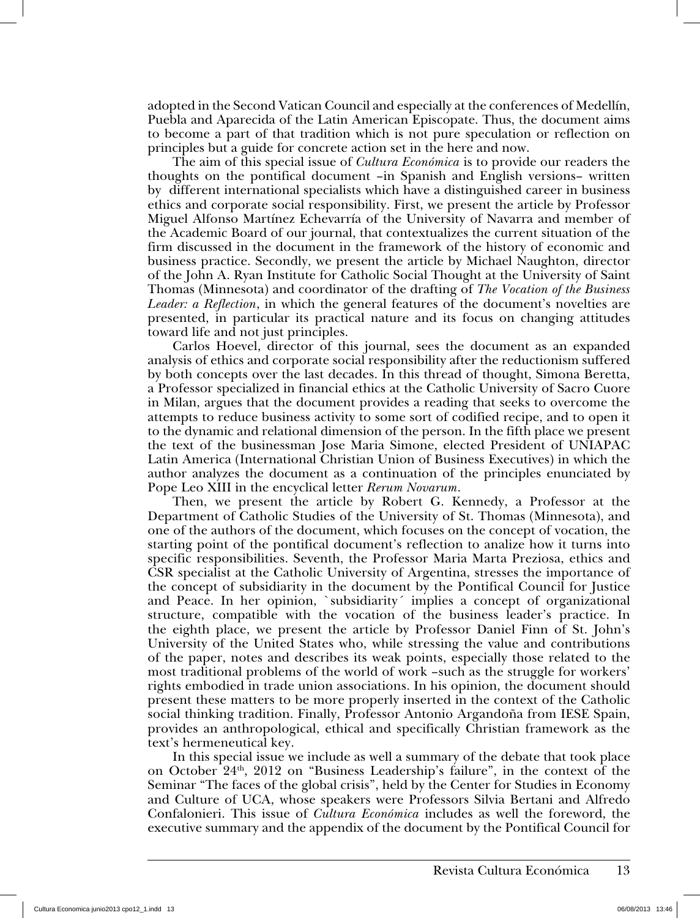adopted in the Second Vatican Council and especially at the conferences of Medellín, Puebla and Aparecida of the Latin American Episcopate. Thus, the document aims to become a part of that tradition which is not pure speculation or reflection on principles but a guide for concrete action set in the here and now.

The aim of this special issue of *Cultura Económica* is to provide our readers the thoughts on the pontifical document –in Spanish and English versions– written by different international specialists which have a distinguished career in business ethics and corporate social responsibility. First, we present the article by Professor Miguel Alfonso Martínez Echevarría of the University of Navarra and member of the Academic Board of our journal, that contextualizes the current situation of the firm discussed in the document in the framework of the history of economic and business practice. Secondly, we present the article by Michael Naughton, director of the John A. Ryan Institute for Catholic Social Thought at the University of Saint Thomas (Minnesota) and coordinator of the drafting of *The Vocation of the Business Leader: a Reflection*, in which the general features of the document's novelties are presented, in particular its practical nature and its focus on changing attitudes toward life and not just principles.

Carlos Hoevel, director of this journal, sees the document as an expanded analysis of ethics and corporate social responsibility after the reductionism suffered by both concepts over the last decades. In this thread of thought, Simona Beretta, a Professor specialized in financial ethics at the Catholic University of Sacro Cuore in Milan, argues that the document provides a reading that seeks to overcome the attempts to reduce business activity to some sort of codified recipe, and to open it to the dynamic and relational dimension of the person. In the fifth place we present the text of the businessman Jose Maria Simone, elected President of UNIAPAC Latin America (International Christian Union of Business Executives) in which the author analyzes the document as a continuation of the principles enunciated by Pope Leo XIII in the encyclical letter *Rerum Novarum*.

Then, we present the article by Robert G. Kennedy, a Professor at the Department of Catholic Studies of the University of St. Thomas (Minnesota), and one of the authors of the document, which focuses on the concept of vocation, the starting point of the pontifical document's reflection to analize how it turns into specific responsibilities. Seventh, the Professor Maria Marta Preziosa, ethics and CSR specialist at the Catholic University of Argentina, stresses the importance of the concept of subsidiarity in the document by the Pontifical Council for Justice and Peace. In her opinion, `subsidiarity´ implies a concept of organizational structure, compatible with the vocation of the business leader's practice. In the eighth place, we present the article by Professor Daniel Finn of St. John's University of the United States who, while stressing the value and contributions of the paper, notes and describes its weak points, especially those related to the most traditional problems of the world of work –such as the struggle for workers' rights embodied in trade union associations. In his opinion, the document should present these matters to be more properly inserted in the context of the Catholic social thinking tradition. Finally, Professor Antonio Argandoña from IESE Spain, provides an anthropological, ethical and specifically Christian framework as the text's hermeneutical key.

In this special issue we include as well a summary of the debate that took place on October 24th, 2012 on "Business Leadership's failure", in the context of the Seminar "The faces of the global crisis", held by the Center for Studies in Economy and Culture of UCA, whose speakers were Professors Silvia Bertani and Alfredo Confalonieri. This issue of *Cultura Económica* includes as well the foreword, the executive summary and the appendix of the document by the Pontifical Council for